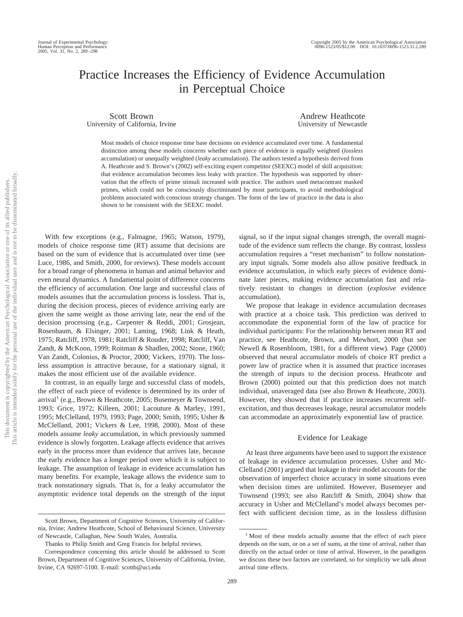# Practice Increases the Efficiency of Evidence Accumulation in Perceptual Choice

Scott Brown University of California, Irvine

Andrew Heathcote University of Newcastle

Most models of choice response time base decisions on evidence accumulated over time. A fundamental distinction among these models concerns whether each piece of evidence is equally weighted (*lossless* accumulation) or unequally weighted (*leaky* accumulation). The authors tested a hypothesis derived from A. Heathcote and S. Brown's (2002) self-exciting expert competitor (SEEXC) model of skill acquisition: that evidence accumulation becomes less leaky with practice. The hypothesis was supported by observation that the effects of prime stimuli increased with practice. The authors used metacontrast masked primes, which could not be consciously discriminated by most participants, to avoid methodological problems associated with conscious strategy changes. The form of the law of practice in the data is also shown to be consistent with the SEEXC model.

With few exceptions (e.g., Falmagne, 1965; Watson, 1979), models of choice response time (RT) assume that decisions are based on the sum of evidence that is accumulated over time (see Luce, 1986, and Smith, 2000, for reviews). These models account for a broad range of phenomena in human and animal behavior and even neural dynamics. A fundamental point of difference concerns the efficiency of accumulation. One large and successful class of models assumes that the accumulation process is lossless. That is, during the decision process, pieces of evidence arriving early are given the same weight as those arriving late, near the end of the decision processing (e.g., Carpenter & Reddi, 2001; Grosjean, Rosenbaum, & Elsinger, 2001; Laming, 1968; Link & Heath, 1975; Ratcliff, 1978, 1981; Ratcliff & Rouder, 1998; Ratcliff, Van Zandt, & McKoon, 1999; Roitman & Shadlen, 2002; Stone, 1960; Van Zandt, Colonius, & Proctor, 2000; Vickers, 1970). The lossless assumption is attractive because, for a stationary signal, it makes the most efficient use of the available evidence.

In contrast, in an equally large and successful class of models, the effect of each piece of evidence is determined by its order of arrival<sup>1</sup> (e.g., Brown & Heathcote, 2005; Busemeyer & Townsend, 1993; Grice, 1972; Killeen, 2001; Lacouture & Marley, 1991, 1995; McClelland, 1979, 1993; Page, 2000; Smith, 1995; Usher & McClelland, 2001; Vickers & Lee, 1998, 2000). Most of these models assume *leaky* accumulation, in which previously summed evidence is slowly forgotten. Leakage affects evidence that arrives early in the process more than evidence that arrives late, because the early evidence has a longer period over which it is subject to leakage. The assumption of leakage in evidence accumulation has many benefits. For example, leakage allows the evidence sum to track nonstationary signals. That is, for a leaky accumulator the asymptotic evidence total depends on the strength of the input

signal, so if the input signal changes strength, the overall magnitude of the evidence sum reflects the change. By contrast, lossless accumulation requires a "reset mechanism" to follow nonstationary input signals. Some models also allow positive feedback in evidence accumulation, in which early pieces of evidence dominate later pieces, making evidence accumulation fast and relatively resistant to changes in direction (*explosive* evidence accumulation).

We propose that leakage in evidence accumulation decreases with practice at a choice task. This prediction was derived to accommodate the exponential form of the law of practice for individual participants: For the relationship between mean RT and practice, see Heathcote, Brown, and Mewhort, 2000 (but see Newell & Rosenbloom, 1981, for a different view). Page (2000) observed that neural accumulator models of choice RT predict a power law of practice when it is assumed that practice increases the strength of inputs to the decision process. Heathcote and Brown (2000) pointed out that this prediction does not match individual, unaveraged data (see also Brown & Heathcote, 2003). However, they showed that if practice increases recurrent selfexcitation, and thus decreases leakage, neural accumulator models can accommodate an approximately exponential law of practice.

#### Evidence for Leakage

At least three arguments have been used to support the existence of leakage in evidence accumulation processes. Usher and Mc-Clelland (2001) argued that leakage in their model accounts for the observation of imperfect choice accuracy in some situations even when decision times are unlimited. However, Busemeyer and Townsend (1993; see also Ratcliff & Smith, 2004) show that accuracy in Usher and McClelland's model always becomes perfect with sufficient decision time, as in the lossless diffusion

Scott Brown, Department of Cognitive Sciences, University of California, Irvine; Andrew Heathcote, School of Behavioural Science, University of Newcastle, Callaghan, New South Wales, Australia.

Thanks to Philip Smith and Greg Francis for helpful reviews.

Correspondence concerning this article should be addressed to Scott Brown, Department of Cognitive Sciences, University of California, Irvine, Irvine, CA 92697-5100. E-mail: scottb@uci.edu

<sup>&</sup>lt;sup>1</sup> Most of these models actually assume that the effect of each piece depends on the sum, or on a set of sums, at the time of arrival, rather than directly on the actual order or time of arrival. However, in the paradigms we discuss these two factors are correlated, so for simplicity we talk about arrival time effects.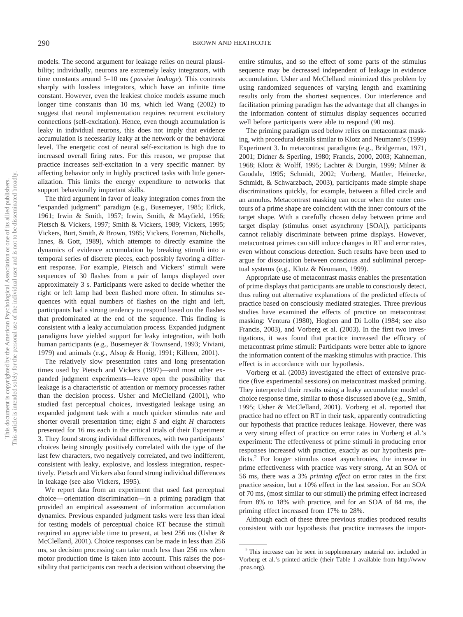models. The second argument for leakage relies on neural plausibility; individually, neurons are extremely leaky integrators, with time constants around 5–10 ms ( *passive leakage*). This contrasts sharply with lossless integrators, which have an infinite time constant. However, even the leakiest choice models assume much longer time constants than 10 ms, which led Wang (2002) to suggest that neural implementation requires recurrent excitatory connections (self-excitation). Hence, even though accumulation is leaky in individual neurons, this does not imply that evidence accumulation is necessarily leaky at the network or the behavioral level. The energetic cost of neural self-excitation is high due to increased overall firing rates. For this reason, we propose that practice increases self-excitation in a very specific manner: by affecting behavior only in highly practiced tasks with little generalization. This limits the energy expenditure to networks that support behaviorally important skills.

The third argument in favor of leaky integration comes from the "expanded judgment" paradigm (e.g., Busemeyer, 1985; Erlick, 1961; Irwin & Smith, 1957; Irwin, Smith, & Mayfield, 1956; Pietsch & Vickers, 1997; Smith & Vickers, 1989; Vickers, 1995; Vickers, Burt, Smith, & Brown, 1985; Vickers, Foreman, Nicholls, Innes, & Gott, 1989), which attempts to directly examine the dynamics of evidence accumulation by breaking stimuli into a temporal series of discrete pieces, each possibly favoring a different response. For example, Pietsch and Vickers' stimuli were sequences of 30 flashes from a pair of lamps displayed over approximately 3 s. Participants were asked to decide whether the right or left lamp had been flashed more often. In stimulus sequences with equal numbers of flashes on the right and left, participants had a strong tendency to respond based on the flashes that predominated at the end of the sequence. This finding is consistent with a leaky accumulation process. Expanded judgment paradigms have yielded support for leaky integration, with both human participants (e.g., Busemeyer & Townsend, 1993; Viviani, 1979) and animals (e.g., Alsop & Honig, 1991; Killeen, 2001).

The relatively slow presentation rates and long presentation times used by Pietsch and Vickers (1997)—and most other expanded judgment experiments—leave open the possibility that leakage is a characteristic of attention or memory processes rather than the decision process. Usher and McClelland (2001), who studied fast perceptual choices, investigated leakage using an expanded judgment task with a much quicker stimulus rate and shorter overall presentation time; eight *S* and eight *H* characters presented for 16 ms each in the critical trials of their Experiment 3. They found strong individual differences, with two participants' choices being strongly positively correlated with the type of the last few characters, two negatively correlated, and two indifferent, consistent with leaky, explosive, and lossless integration, respectively. Pietsch and Vickers also found strong individual differences in leakage (see also Vickers, 1995).

We report data from an experiment that used fast perceptual choice— orientation discrimination—in a priming paradigm that provided an empirical assessment of information accumulation dynamics. Previous expanded judgment tasks were less than ideal for testing models of perceptual choice RT because the stimuli required an appreciable time to present, at best 256 ms (Usher & McClelland, 2001). Choice responses can be made in less than 256 ms, so decision processing can take much less than 256 ms when motor production time is taken into account. This raises the possibility that participants can reach a decision without observing the

entire stimulus, and so the effect of some parts of the stimulus sequence may be decreased independent of leakage in evidence accumulation. Usher and McClelland minimized this problem by using randomized sequences of varying length and examining results only from the shortest sequences. Our interference and facilitation priming paradigm has the advantage that all changes in the information content of stimulus display sequences occurred well before participants were able to respond (90 ms).

The priming paradigm used below relies on metacontrast masking, with procedural details similar to Klotz and Neumann's (1999) Experiment 3. In metacontrast paradigms (e.g., Bridgeman, 1971, 2001; Didner & Sperling, 1980; Francis, 2000, 2003; Kahneman, 1968; Klotz & Wolff, 1995; Lachter & Durgin, 1999; Milner & Goodale, 1995; Schmidt, 2002; Vorberg, Mattler, Heinecke, Schmidt, & Schwarzbach, 2003), participants made simple shape discriminations quickly, for example, between a filled circle and an annulus. Metacontrast masking can occur when the outer contours of a prime shape are coincident with the inner contours of the target shape. With a carefully chosen delay between prime and target display (stimulus onset asynchrony [SOA]), participants cannot reliably discriminate between prime displays. However, metacontrast primes can still induce changes in RT and error rates, even without conscious detection. Such results have been used to argue for dissociation between conscious and subliminal perceptual systems (e.g., Klotz & Neumann, 1999).

Appropriate use of metacontrast masks enables the presentation of prime displays that participants are unable to consciously detect, thus ruling out alternative explanations of the predicted effects of practice based on consciously mediated strategies. Three previous studies have examined the effects of practice on metacontrast masking: Ventura (1980), Hogben and Di Lollo (1984; see also Francis, 2003), and Vorberg et al. (2003). In the first two investigations, it was found that practice increased the efficacy of metacontrast prime stimuli: Participants were better able to ignore the information content of the masking stimulus with practice. This effect is in accordance with our hypothesis.

Vorberg et al. (2003) investigated the effect of extensive practice (five experimental sessions) on metacontrast masked priming. They interpreted their results using a leaky accumulator model of choice response time, similar to those discussed above (e.g., Smith, 1995; Usher & McClelland, 2001). Vorberg et al. reported that practice had no effect on RT in their task, apparently contradicting our hypothesis that practice reduces leakage. However, there was a very strong effect of practice on error rates in Vorberg et al.'s experiment: The effectiveness of prime stimuli in producing error responses increased with practice, exactly as our hypothesis predicts.<sup>2</sup> For longer stimulus onset asynchronies, the increase in prime effectiveness with practice was very strong. At an SOA of 56 ms, there was a 3% *priming effect* on error rates in the first practice session, but a 10% effect in the last session. For an SOA of 70 ms, (most similar to our stimuli) the priming effect increased from 8% to 18% with practice, and for an SOA of 84 ms, the priming effect increased from 17% to 28%.

Although each of these three previous studies produced results consistent with our hypothesis that practice increases the impor-

<sup>&</sup>lt;sup>2</sup> This increase can be seen in supplementary material not included in Vorberg et al.'s printed article (their Table 1 available from http://www .pnas.org).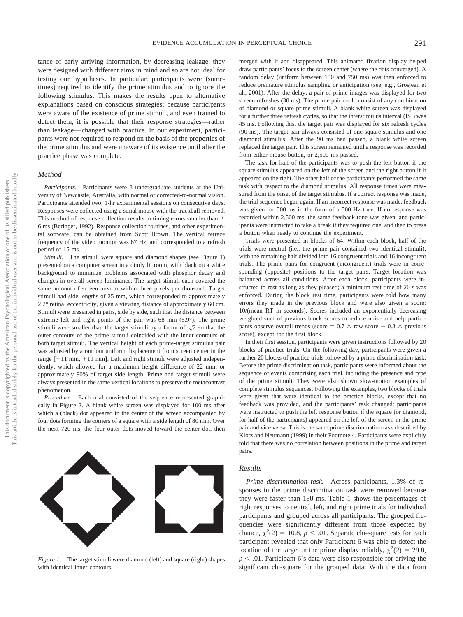tance of early arriving information, by decreasing leakage, they were designed with different aims in mind and so are not ideal for testing our hypotheses. In particular, participants were (sometimes) required to identify the prime stimulus and to ignore the following stimulus. This makes the results open to alternative explanations based on conscious strategies; because participants were aware of the existence of prime stimuli, and even trained to detect them, it is possible that their response strategies—rather than leakage— changed with practice. In our experiment, participants were not required to respond on the basis of the properties of the prime stimulus and were unaware of its existence until after the practice phase was complete.

# *Method*

*Participants.* Participants were 8 undergraduate students at the University of Newcastle, Australia, with normal or corrected-to-normal vision. Participants attended two, 1-hr experimental sessions on consecutive days. Responses were collected using a serial mouse with the trackball removed. This method of response collection results in timing errors smaller than  $\pm$ 6 ms (Beringer, 1992). Response collection routines, and other experimental software, can be obtained from Scott Brown. The vertical retrace frequency of the video monitor was 67 Hz, and corresponded to a refresh period of 15 ms.

*Stimuli.* The stimuli were square and diamond shapes (see Figure 1) presented on a computer screen in a dimly lit room, with black on a white background to minimize problems associated with phosphor decay and changes in overall screen luminance. The target stimuli each covered the same amount of screen area to within three pixels per thousand. Target stimuli had side lengths of 25 mm, which corresponded to approximately 2.2° retinal eccentricity, given a viewing distance of approximately 60 cm. Stimuli were presented in pairs, side by side, such that the distance between extreme left and right points of the pair was 68 mm (5.9°). The prime stimuli were smaller than the target stimuli by a factor of  $\sqrt{2}$  so that the outer contours of the prime stimuli coincided with the inner contours of both target stimuli. The vertical height of each prime-target stimulus pair was adjusted by a random uniform displacement from screen center in the range [-11 mm, +11 mm]. Left and right stimuli were adjusted independently, which allowed for a maximum height difference of 22 mm, or approximately 90% of target side length. Prime and target stimuli were always presented in the same vertical locations to preserve the metacontrast phenomenon.

*Procedure.* Each trial consisted of the sequence represented graphically in Figure 2. A blank white screen was displayed for 100 ms after which a (black) dot appeared in the center of the screen accompanied by four dots forming the corners of a square with a side length of 80 mm. Over the next 720 ms, the four outer dots moved toward the center dot, then



merged with it and disappeared. This animated fixation display helped draw participants' focus to the screen center (where the dots converged). A random delay (uniform between 150 and 750 ms) was then enforced to reduce premature stimulus sampling or anticipation (see, e.g., Grosjean et al., 2001). After the delay, a pair of prime images was displayed for two screen refreshes (30 ms). The prime pair could consist of any combination of diamond or square prime stimuli. A blank white screen was displayed for a further three refresh cycles, so that the interstimulus interval (ISI) was 45 ms. Following this, the target pair was displayed for six refresh cycles (90 ms). The target pair always consisted of one square stimulus and one diamond stimulus. After the 90 ms had passed, a blank white screen replaced the target pair. This screen remained until a response was recorded from either mouse button, or 2,500 ms passed.

The task for half of the participants was to push the left button if the square stimulus appeared on the left of the screen and the right button if it appeared on the right. The other half of the participants performed the same task with respect to the diamond stimulus. All response times were measured from the onset of the target stimulus. If a correct response was made, the trial sequence began again. If an incorrect response was made, feedback was given for 500 ms in the form of a 500 Hz tone. If no response was recorded within 2,500 ms, the same feedback tone was given, and participants were instructed to take a break if they required one, and then to press a button when ready to continue the experiment.

Trials were presented in blocks of 64. Within each block, half of the trials were neutral (i.e., the prime pair contained two identical stimuli), with the remaining half divided into 16 congruent trials and 16 incongruent trials. The prime pairs for congruent (incongruent) trials were in corresponding (opposite) positions to the target pairs. Target location was balanced across all conditions. After each block, participants were instructed to rest as long as they pleased; a minimum rest time of 20 s was enforced. During the block rest time, participants were told how many errors they made in the previous block and were also given a score: 10/(mean RT in seconds). Scores included an exponentially decreasing weighted sum of previous block scores to reduce noise and help participants observe overall trends (score =  $0.7 \times$  raw score +  $0.3 \times$  previous score), except for the first block.

In their first session, participants were given instructions followed by 20 blocks of practice trials. On the following day, participants were given a further 20 blocks of practice trials followed by a prime discrimination task. Before the prime discrimination task, participants were informed about the sequence of events comprising each trial, including the presence and type of the prime stimuli. They were also shown slow-motion examples of complete stimulus sequences. Following the examples, two blocks of trials were given that were identical to the practice blocks, except that no feedback was provided, and the participants' task changed; participants were instructed to push the left response button if the square (or diamond, for half of the participants) appeared on the left of the screen in the prime pair and vice versa. This is the same prime discrimination task described by Klotz and Neumann (1999) in their Footnote 4. Participants were explicitly told that there was no correlation between positions in the prime and target pairs.

## *Results*

*Prime discrimination task.* Across participants, 1.3% of responses in the prime discrimination task were removed because they were faster than 180 ms. Table 1 shows the percentages of right responses to neutral, left, and right prime trials for individual participants and grouped across all participants. The grouped frequencies were significantly different from those expected by chance,  $\chi^2(2) = 10.8$ ,  $p < .01$ . Separate chi-square tests for each participant revealed that only Participant 6 was able to detect the location of the target in the prime display reliably,  $\chi^2(2) = 28.8$ ,  $p < .01$ . Participant 6's data were also responsible for driving the significant chi-square for the grouped data: With the data from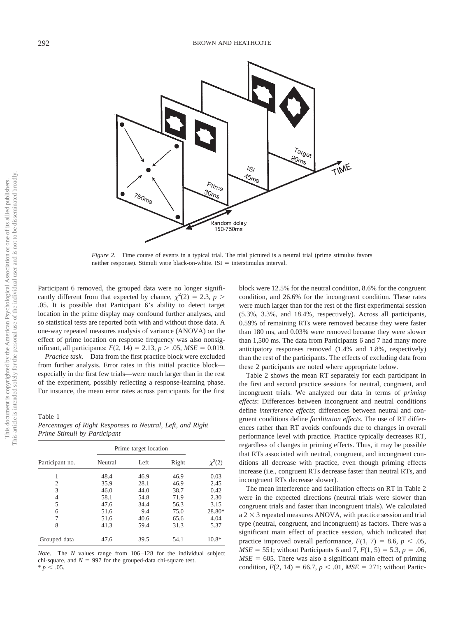

*Figure 2.* Time course of events in a typical trial. The trial pictured is a neutral trial (prime stimulus favors neither response). Stimuli were black-on-white.  $ISI =$  interstimulus interval.

Participant 6 removed, the grouped data were no longer significantly different from that expected by chance,  $\chi^2(2) = 2.3$ ,  $p >$ .05. It is possible that Participant 6's ability to detect target location in the prime display may confound further analyses, and so statistical tests are reported both with and without those data. A one-way repeated measures analysis of variance (ANOVA) on the effect of prime location on response frequency was also nonsignificant, all participants:  $F(2, 14) = 2.13$ ,  $p > .05$ ,  $MSE = 0.019$ .

*Practice task.* Data from the first practice block were excluded from further analysis. Error rates in this initial practice block especially in the first few trials—were much larger than in the rest of the experiment, possibly reflecting a response-learning phase. For instance, the mean error rates across participants for the first

Table 1

*Percentages of Right Responses to Neutral, Left, and Right Prime Stimuli by Participant*

|                 |         | Prime target location |       |             |
|-----------------|---------|-----------------------|-------|-------------|
| Participant no. | Neutral | Left                  | Right | $\chi^2(2)$ |
|                 | 48.4    | 46.9                  | 46.9  | 0.03        |
| 2               | 35.9    | 28.1                  | 46.9  | 2.45        |
| 3               | 46.0    | 44.0                  | 38.7  | 0.42        |
| 4               | 58.1    | 54.8                  | 71.9  | 2.30        |
| 5               | 47.6    | 34.4                  | 56.3  | 3.15        |
| 6               | 51.6    | 9.4                   | 75.0  | 28.80*      |
| 7               | 51.6    | 40.6                  | 65.6  | 4.04        |
| 8               | 41.3    | 59.4                  | 31.3  | 5.37        |
| Grouped data    | 47.6    | 39.5                  | 54.1  | $10.8*$     |

*Note.* The *N* values range from 106 –128 for the individual subject chi-square, and  $N = 997$  for the grouped-data chi-square test.  $* p < .05.$ 

block were 12.5% for the neutral condition, 8.6% for the congruent condition, and 26.6% for the incongruent condition. These rates were much larger than for the rest of the first experimental session (5.3%, 3.3%, and 18.4%, respectively). Across all participants, 0.59% of remaining RTs were removed because they were faster than 180 ms, and 0.03% were removed because they were slower than 1,500 ms. The data from Participants 6 and 7 had many more anticipatory responses removed (1.4% and 1.8%, respectively) than the rest of the participants. The effects of excluding data from these 2 participants are noted where appropriate below.

Table 2 shows the mean RT separately for each participant in the first and second practice sessions for neutral, congruent, and incongruent trials. We analyzed our data in terms of *priming effects*: Differences between incongruent and neutral conditions define *interference effects*; differences between neutral and congruent conditions define *facilitation effects*. The use of RT differences rather than RT avoids confounds due to changes in overall performance level with practice. Practice typically decreases RT, regardless of changes in priming effects. Thus, it may be possible that RTs associated with neutral, congruent, and incongruent conditions all decrease with practice, even though priming effects increase (i.e., congruent RTs decrease faster than neutral RTs, and incongruent RTs decrease slower).

The mean interference and facilitation effects on RT in Table 2 were in the expected directions (neutral trials were slower than congruent trials and faster than incongruent trials). We calculated  $a 2 \times 3$  repeated measures ANOVA, with practice session and trial type (neutral, congruent, and incongruent) as factors. There was a significant main effect of practice session, which indicated that practice improved overall performance,  $F(1, 7) = 8.6$ ,  $p < .05$ , *MSE* = 551; without Participants 6 and 7,  $F(1, 5) = 5.3$ ,  $p = .06$ ,  $MSE = 605$ . There was also a significant main effect of priming condition,  $F(2, 14) = 66.7$ ,  $p < .01$ ,  $MSE = 271$ ; without Partic-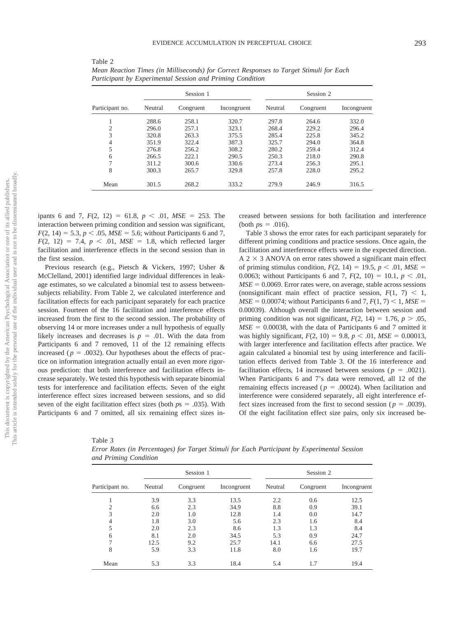|                 |         | Session 1 |             |         | Session 2 |             |
|-----------------|---------|-----------|-------------|---------|-----------|-------------|
| Participant no. | Neutral | Congruent | Incongruent | Neutral | Congruent | Incongruent |
|                 | 288.6   | 258.1     | 320.7       | 297.8   | 264.6     | 332.0       |
| $\overline{c}$  | 296.0   | 257.1     | 323.1       | 268.4   | 229.2     | 296.4       |
| 3               | 320.8   | 263.3     | 375.5       | 285.4   | 225.8     | 345.2       |
| 4               | 351.9   | 322.4     | 387.3       | 325.7   | 294.0     | 364.8       |
| 5               | 276.8   | 256.2     | 308.2       | 280.2   | 259.4     | 312.4       |
| 6               | 266.5   | 222.1     | 290.5       | 250.3   | 218.0     | 290.8       |
| 7               | 311.2   | 300.6     | 330.6       | 273.4   | 256.3     | 295.1       |
| 8               | 300.3   | 265.7     | 329.8       | 257.8   | 228.0     | 295.2       |
| Mean            | 301.5   | 268.2     | 333.2       | 279.9   | 246.9     | 316.5       |

*Mean Reaction Times (in Milliseconds) for Correct Responses to Target Stimuli for Each Participant by Experimental Session and Priming Condition*

ipants 6 and 7,  $F(2, 12) = 61.8$ ,  $p < .01$ ,  $MSE = 253$ . The interaction between priming condition and session was significant,  $F(2, 14) = 5.3, p < .05, MSE = 5.6$ ; without Participants 6 and 7,  $F(2, 12) = 7.4, p < .01, MSE = 1.8$ , which reflected larger facilitation and interference effects in the second session than in the first session.

Table 2

Previous research (e.g., Pietsch & Vickers, 1997; Usher & McClelland, 2001) identified large individual differences in leakage estimates, so we calculated a binomial test to assess betweensubjects reliability. From Table 2, we calculated interference and facilitation effects for each participant separately for each practice session. Fourteen of the 16 facilitation and interference effects increased from the first to the second session. The probability of observing 14 or more increases under a null hypothesis of equally likely increases and decreases is  $p = .01$ . With the data from Participants 6 and 7 removed, 11 of the 12 remaining effects increased ( $p = .0032$ ). Our hypotheses about the effects of practice on information integration actually entail an even more rigorous prediction: that both interference and facilitation effects increase separately. We tested this hypothesis with separate binomial tests for interference and facilitation effects. Seven of the eight interference effect sizes increased between sessions, and so did seven of the eight facilitation effect sizes (both  $p_s = .035$ ). With Participants 6 and 7 omitted, all six remaining effect sizes increased between sessions for both facilitation and interference (both  $p_s = .016$ ).

Table 3 shows the error rates for each participant separately for different priming conditions and practice sessions. Once again, the facilitation and interference effects were in the expected direction.  $A$  2  $\times$  3 ANOVA on error rates showed a significant main effect of priming stimulus condition,  $F(2, 14) = 19.5$ ,  $p < .01$ ,  $MSE =$ 0.0063; without Participants 6 and 7,  $F(2, 10) = 10.1$ ,  $p < .01$ ,  $MSE = 0.0069$ . Error rates were, on average, stable across sessions (nonsignificant main effect of practice session,  $F(1, 7) < 1$ ,  $MSE = 0.00074$ ; without Participants 6 and 7,  $F(1, 7) < 1$ ,  $MSE =$ 0.00039). Although overall the interaction between session and priming condition was not significant,  $F(2, 14) = 1.76$ ,  $p > .05$ ,  $MSE = 0.00038$ , with the data of Participants 6 and 7 omitted it was highly significant,  $F(2, 10) = 9.8$ ,  $p < .01$ ,  $MSE = 0.00013$ , with larger interference and facilitation effects after practice. We again calculated a binomial test by using interference and facilitation effects derived from Table 3. Of the 16 interference and facilitation effects, 14 increased between sessions ( $p = .0021$ ). When Participants 6 and 7's data were removed, all 12 of the remaining effects increased ( $p = .00024$ ). When facilitation and interference were considered separately, all eight interference effect sizes increased from the first to second session ( $p = .0039$ ). Of the eight facilitation effect size pairs, only six increased be-

| Table 3                                                                                      |  |
|----------------------------------------------------------------------------------------------|--|
| Error Rates (in Percentages) for Target Stimuli for Each Participant by Experimental Session |  |
| and Priming Condition                                                                        |  |

|                 |         | Session 1 |             |         | Session 2 |             |
|-----------------|---------|-----------|-------------|---------|-----------|-------------|
| Participant no. | Neutral | Congruent | Incongruent | Neutral | Congruent | Incongruent |
|                 | 3.9     | 3.3       | 13.5        | 2.2     | 0.6       | 12.5        |
| $\overline{c}$  | 6.6     | 2.3       | 34.9        | 8.8     | 0.9       | 39.1        |
| 3               | 2.0     | 1.0       | 12.8        | 1.4     | 0.0       | 14.7        |
| 4               | 1.8     | 3.0       | 5.6         | 2.3     | 1.6       | 8.4         |
| 5               | 2.0     | 2.3       | 8.6         | 1.3     | 1.3       | 8.4         |
| 6               | 8.1     | 2.0       | 34.5        | 5.3     | 0.9       | 24.7        |
| 7               | 12.5    | 9.2       | 25.7        | 14.1    | 6.6       | 27.5        |
| 8               | 5.9     | 3.3       | 11.8        | 8.0     | 1.6       | 19.7        |
| Mean            | 5.3     | 3.3       | 18.4        | 5.4     | 1.7       | 19.4        |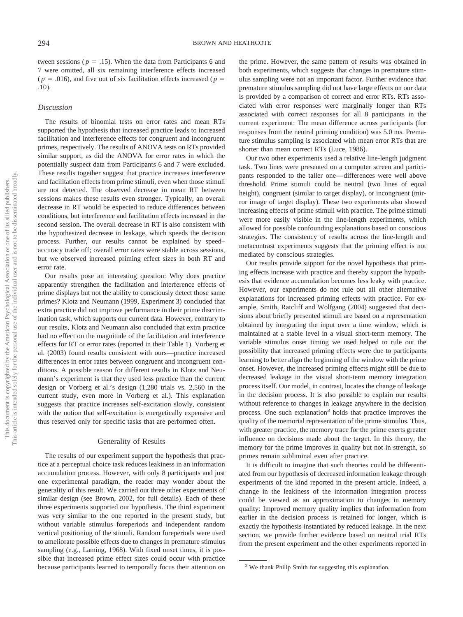tween sessions ( $p = .15$ ). When the data from Participants 6 and 7 were omitted, all six remaining interference effects increased  $(p = .016)$ , and five out of six facilitation effects increased ( $p =$ .10).

### *Discussion*

The results of binomial tests on error rates and mean RTs supported the hypothesis that increased practice leads to increased facilitation and interference effects for congruent and incongruent primes, respectively. The results of ANOVA tests on RTs provided similar support, as did the ANOVA for error rates in which the potentially suspect data from Participants 6 and 7 were excluded. These results together suggest that practice increases interference and facilitation effects from prime stimuli, even when those stimuli are not detected. The observed decrease in mean RT between sessions makes these results even stronger. Typically, an overall decrease in RT would be expected to reduce differences between conditions, but interference and facilitation effects increased in the second session. The overall decrease in RT is also consistent with the hypothesized decrease in leakage, which speeds the decision process. Further, our results cannot be explained by speed– accuracy trade off; overall error rates were stable across sessions, but we observed increased priming effect sizes in both RT and error rate.

Our results pose an interesting question: Why does practice apparently strengthen the facilitation and interference effects of prime displays but not the ability to consciously detect those same primes? Klotz and Neumann (1999, Experiment 3) concluded that extra practice did not improve performance in their prime discrimination task, which supports our current data. However, contrary to our results, Klotz and Neumann also concluded that extra practice had no effect on the magnitude of the facilitation and interference effects for RT or error rates (reported in their Table 1). Vorberg et al. (2003) found results consistent with ours—practice increased differences in error rates between congruent and incongruent conditions. A possible reason for different results in Klotz and Neumann's experiment is that they used less practice than the current design or Vorberg et al.'s design (1,280 trials vs. 2,560 in the current study, even more in Vorberg et al.). This explanation suggests that practice increases self-excitation slowly, consistent with the notion that self-excitation is energetically expensive and thus reserved only for specific tasks that are performed often.

#### Generality of Results

The results of our experiment support the hypothesis that practice at a perceptual choice task reduces leakiness in an information accumulation process. However, with only 8 participants and just one experimental paradigm, the reader may wonder about the generality of this result. We carried out three other experiments of similar design (see Brown, 2002, for full details). Each of these three experiments supported our hypothesis. The third experiment was very similar to the one reported in the present study, but without variable stimulus foreperiods and independent random vertical positioning of the stimuli. Random foreperiods were used to ameliorate possible effects due to changes in premature stimulus sampling (e.g., Laming, 1968). With fixed onset times, it is possible that increased prime effect sizes could occur with practice because participants learned to temporally focus their attention on

the prime. However, the same pattern of results was obtained in both experiments, which suggests that changes in premature stimulus sampling were not an important factor. Further evidence that premature stimulus sampling did not have large effects on our data is provided by a comparison of correct and error RTs. RTs associated with error responses were marginally longer than RTs associated with correct responses for all 8 participants in the current experiment: The mean difference across participants (for responses from the neutral priming condition) was 5.0 ms. Premature stimulus sampling is associated with mean error RTs that are shorter than mean correct RTs (Luce, 1986).

Our two other experiments used a relative line-length judgment task. Two lines were presented on a computer screen and participants responded to the taller one— differences were well above threshold. Prime stimuli could be neutral (two lines of equal height), congruent (similar to target display), or incongruent (mirror image of target display). These two experiments also showed increasing effects of prime stimuli with practice. The prime stimuli were more easily visible in the line-length experiments, which allowed for possible confounding explanations based on conscious strategies. The consistency of results across the line-length and metacontrast experiments suggests that the priming effect is not mediated by conscious strategies.

Our results provide support for the novel hypothesis that priming effects increase with practice and thereby support the hypothesis that evidence accumulation becomes less leaky with practice. However, our experiments do not rule out all other alternative explanations for increased priming effects with practice. For example, Smith, Ratcliff and Wolfgang (2004) suggested that decisions about briefly presented stimuli are based on a representation obtained by integrating the input over a time window, which is maintained at a stable level in a visual short-term memory. The variable stimulus onset timing we used helped to rule out the possibility that increased priming effects were due to participants learning to better align the beginning of the window with the prime onset. However, the increased priming effects might still be due to decreased leakage in the visual short-term memory integration process itself. Our model, in contrast, locates the change of leakage in the decision process. It is also possible to explain our results without reference to changes in leakage anywhere in the decision process. One such explanation<sup>3</sup> holds that practice improves the quality of the memorial representation of the prime stimulus. Thus, with greater practice, the memory trace for the prime exerts greater influence on decisions made about the target. In this theory, the memory for the prime improves in quality but not in strength, so primes remain subliminal even after practice.

It is difficult to imagine that such theories could be differentiated from our hypothesis of decreased information leakage through experiments of the kind reported in the present article. Indeed, a change in the leakiness of the information integration process could be viewed as an approximation to changes in memory quality: Improved memory quality implies that information from earlier in the decision process is retained for longer, which is exactly the hypothesis instantiated by reduced leakage. In the next section, we provide further evidence based on neutral trial RTs from the present experiment and the other experiments reported in

<sup>&</sup>lt;sup>3</sup> We thank Philip Smith for suggesting this explanation.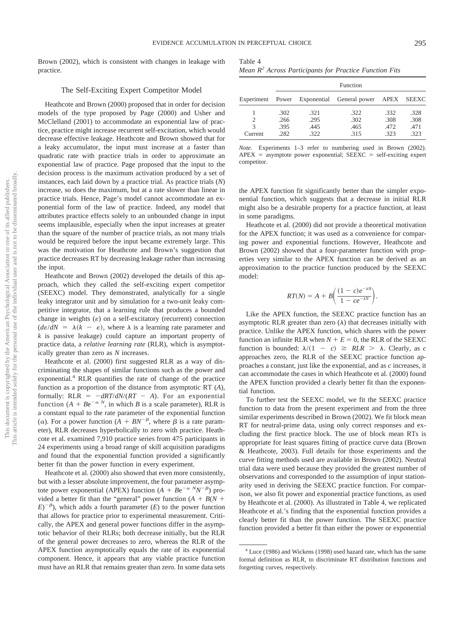Brown (2002), which is consistent with changes in leakage with practice.

#### The Self-Exciting Expert Competitor Model

Heathcote and Brown (2000) proposed that in order for decision models of the type proposed by Page (2000) and Usher and McClelland (2001) to accommodate an exponential law of practice, practice might increase recurrent self-excitation, which would decrease effective leakage. Heathcote and Brown showed that for a leaky accumulator, the input must increase at a faster than quadratic rate with practice trials in order to approximate an exponential law of practice. Page proposed that the input to the decision process is the maximum activation produced by a set of instances, each laid down by a practice trial. As practice trials (*N*) increase, so does the maximum, but at a rate slower than linear in practice trials. Hence, Page's model cannot accommodate an exponential form of the law of practice. Indeed, any model that attributes practice effects solely to an unbounded change in input seems implausible, especially when the input increases at greater than the square of the number of practice trials, as not many trials would be required before the input became extremely large. This was the motivation for Heathcote and Brown's suggestion that practice decreases RT by decreasing leakage rather than increasing the input.

Heathcote and Brown (2002) developed the details of this approach, which they called the self-exciting expert competitor (SEEXC) model. They demonstrated, analytically for a single leaky integrator unit and by simulation for a two-unit leaky competitive integrator, that a learning rule that produces a bounded change in weights  $(\varepsilon)$  on a self-excitatory (recurrent) connection  $(d\varepsilon/dN = \lambda(k - \varepsilon))$ , where  $\lambda$  is a learning rate parameter and *k* is passive leakage) could capture an important property of practice data, a *relative learning rate* (RLR), which is asymptotically greater than zero as *N* increases.

Heathcote et al. (2000) first suggested RLR as a way of discriminating the shapes of similar functions such as the power and exponential.<sup>4</sup> RLR quantifies the rate of change of the practice function as a proportion of the distance from asymptotic RT (*A*), formally:  $RLR = -dRT/dN/(RT - A)$ . For an exponential function  $(A + Be^{-\alpha N}$ , in which *B* is a scale parameter), RLR is a constant equal to the rate parameter of the exponential function ( $\alpha$ ). For a power function ( $\overline{A} + \overline{B}N^{-\beta}$ , where  $\beta$  is a rate parameter), RLR decreases hyperbolically to zero with practice. Heathcote et al. examined 7,910 practice series from 475 participants in 24 experiments using a broad range of skill acquisition paradigms and found that the exponential function provided a significantly better fit than the power function in every experiment.

Heathcote et al. (2000) also showed that even more consistently, but with a lesser absolute improvement, the four parameter asymptote power exponential (APEX) function  $(A + Be^{-\alpha N}N^{-\beta})$  provided a better fit than the "general" power function  $(A + B(N +$  $(E)^{-\beta}$ ), which adds a fourth parameter (*E*) to the power function that allows for practice prior to experimental measurement. Critically, the APEX and general power functions differ in the asymptotic behavior of their RLRs; both decrease initially, but the RLR of the general power decreases to zero, whereas the RLR of the APEX function asymptotically equals the rate of its exponential component. Hence, it appears that any viable practice function must have an RLR that remains greater than zero. In some data sets

| Table 4                                                 |  |  |  |  |
|---------------------------------------------------------|--|--|--|--|
| $\mathbf{v} = \mathbf{v}^2$ , $\mathbf{v} = \mathbf{v}$ |  |  |  |  |

| Mean R <sup>2</sup> Across Participants for Practice Function Fits |  |
|--------------------------------------------------------------------|--|
|--------------------------------------------------------------------|--|

|                               |                              |                              | Function                                              |                              |                              |
|-------------------------------|------------------------------|------------------------------|-------------------------------------------------------|------------------------------|------------------------------|
|                               |                              |                              | Experiment Power Exponential General power APEX SEEXC |                              |                              |
| 2<br>$\mathcal{R}$<br>Current | .302<br>.266<br>.395<br>.282 | .321<br>.295<br>.445<br>.322 | .322<br>.302<br>.465<br>.315                          | .332<br>.308<br>.472<br>.323 | .328<br>.308<br>.471<br>.323 |

*Note.* Experiments 1–3 refer to numbering used in Brown (2002).  $APEX =$  asymptote power exponential;  $SEEXC =$  self-exciting expert competitor.

the APEX function fit significantly better than the simpler exponential function, which suggests that a decrease in initial RLR might also be a desirable property for a practice function, at least in some paradigms.

Heathcote et al. (2000) did not provide a theoretical motivation for the APEX function; it was used as a convenience for comparing power and exponential functions. However, Heathcote and Brown (2002) showed that a four-parameter function with properties very similar to the APEX function can be derived as an approximation to the practice function produced by the SEEXC model:

$$
RT(N) = A + B\left(\frac{(1-c)e^{-\lambda N}}{1 - ce^{-\lambda N}}\right).
$$

Like the APEX function, the SEEXC practice function has an asymptotic RLR greater than zero  $(\lambda)$  that decreases initially with practice. Unlike the APEX function, which shares with the power function an infinite RLR when  $N + E = 0$ , the RLR of the SEEXC function is bounded:  $\lambda/(1 - c) \geq RLR > \lambda$ . Clearly, as *c* approaches zero, the RLR of the SEEXC practice function approaches a constant, just like the exponential, and as *c* increases, it can accommodate the cases in which Heathcote et al. (2000) found the APEX function provided a clearly better fit than the exponential function.

To further test the SEEXC model, we fit the SEEXC practice function to data from the present experiment and from the three similar experiments described in Brown (2002). We fit block mean RT for neutral-prime data, using only correct responses and excluding the first practice block. The use of block mean RTs is appropriate for least squares fitting of practice curve data (Brown & Heathcote, 2003). Full details for those experiments and the curve fitting methods used are available in Brown (2002). Neutral trial data were used because they provided the greatest number of observations and corresponded to the assumption of input stationarity used in deriving the SEEXC practice function. For comparison, we also fit power and exponential practice functions, as used by Heathcote et al. (2000). As illustrated in Table 4, we replicated Heathcote et al.'s finding that the exponential function provides a clearly better fit than the power function. The SEEXC practice function provided a better fit than either the power or exponential

<sup>4</sup> Luce (1986) and Wickens (1998) used hazard rate, which has the same formal definition as RLR, to discriminate RT distribution functions and forgetting curves, respectively.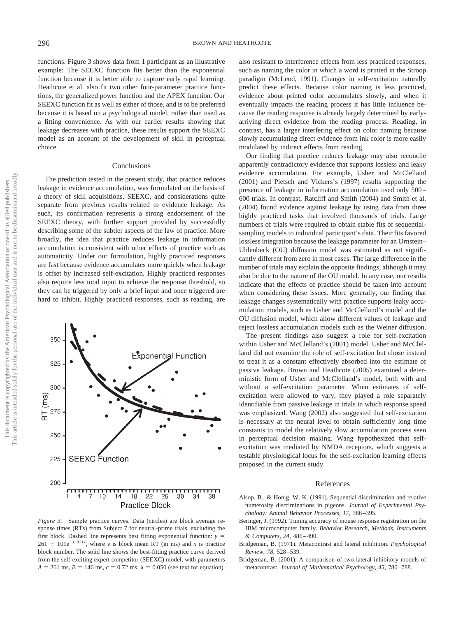functions. Figure 3 shows data from 1 participant as an illustrative example: The SEEXC function fits better than the exponential function because it is better able to capture early rapid learning. Heathcote et al. also fit two other four-parameter practice functions, the generalized power function and the APEX function. Our SEEXC function fit as well as either of those, and is to be preferred because it is based on a psychological model, rather than used as a fitting convenience. As with our earlier results showing that leakage decreases with practice, these results support the SEEXC model as an account of the development of skill in perceptual choice.

#### Conclusions

The prediction tested in the present study, that practice reduces leakage in evidence accumulation, was formulated on the basis of a theory of skill acquisitions, SEEXC, and considerations quite separate from previous results related to evidence leakage. As such, its confirmation represents a strong endorsement of the SEEXC theory, with further support provided by successfully describing some of the subtler aspects of the law of practice. More broadly, the idea that practice reduces leakage in information accumulation is consistent with other effects of practice such as automaticity. Under our formulation, highly practiced responses are fast because evidence accumulates more quickly when leakage is offset by increased self-excitation. Highly practiced responses also require less total input to achieve the response threshold, so they can be triggered by only a brief input and once triggered are hard to inhibit. Highly practiced responses, such as reading, are



*Figure 3.* Sample practice curves. Data (circles) are block average response times (RTs) from Subject 7 for neutral-prime trials, excluding the first block. Dashed line represents best fitting exponential function: *y*  $261 + 101e^{-0.071x}$ , where *y* is block mean RT (in ms) and *x* is practice block number. The solid line shows the best-fitting practice curve derived from the self-exciting expert competitor (SEEXC) model, with parameters  $A = 261$  ms,  $B = 146$  ms,  $c = 0.72$  ms,  $\lambda = 0.050$  (see text for equation).

also resistant to interference effects from less practiced responses, such as naming the color in which a word is printed in the Stroop paradigm (McLeod, 1991). Changes in self-excitation naturally predict these effects. Because color naming is less practiced, evidence about printed color accumulates slowly, and when it eventually impacts the reading process it has little influence because the reading response is already largely determined by earlyarriving direct evidence from the reading process. Reading, in contrast, has a larger interfering effect on color naming because slowly accumulating direct evidence from ink color is more easily modulated by indirect effects from reading.

Our finding that practice reduces leakage may also reconcile apparently contradictory evidence that supports lossless and leaky evidence accumulation. For example, Usher and McClelland (2001) and Pietsch and Vickers's (1997) results supporting the presence of leakage in information accumulation used only 500 – 600 trials. In contrast, Ratcliff and Smith (2004) and Smith et al. (2004) found evidence against leakage by using data from three highly practiced tasks that involved thousands of trials. Large numbers of trials were required to obtain stable fits of sequentialsampling models to individual participant's data. Their fits favored lossless integration because the leakage parameter for an Ornstein– Uhlenbeck (OU) diffusion model was estimated as not significantly different from zero in most cases. The large difference in the number of trials may explain the opposite findings, although it may also be due to the nature of the OU model. In any case, our results indicate that the effects of practice should be taken into account when considering these issues. More generally, our finding that leakage changes systematically with practice supports leaky accumulation models, such as Usher and McClelland's model and the OU diffusion model, which allow different values of leakage and reject lossless accumulation models such as the Weiner diffusion.

The present findings also suggest a role for self-excitation within Usher and McClelland's (2001) model. Usher and McClelland did not examine the role of self-excitation but chose instead to treat it as a constant effectively absorbed into the estimate of passive leakage. Brown and Heathcote (2005) examined a deterministic form of Usher and McClelland's model, both with and without a self-excitation parameter. When estimates of selfexcitation were allowed to vary, they played a role separately identifiable from passive leakage in trials in which response speed was emphasized. Wang (2002) also suggested that self-excitation is necessary at the neural level to obtain sufficiently long time constants to model the relatively slow accumulation process seen in perceptual decision making. Wang hypothesized that selfexcitation was mediated by NMDA receptors, which suggests a testable physiological locus for the self-excitation learning effects proposed in the current study.

#### References

- Alsop, B., & Honig, W. K. (1991). Sequential discrimination and relative numerosity discriminations in pigeons. *Journal of Experimental Psychology: Animal Behavior Processes, 17,* 386 –395.
- Beringer, J. (1992). Timing accuracy of mouse response registration on the IBM microcomputer family. *Behavior Research, Methods, Instruments & Computers, 24,* 486 – 490.
- Bridgeman, B. (1971). Metacontrast and lateral inhibition. *Psychological Review, 78,* 528 –539.
- Bridgeman, B. (2001). A comparison of two lateral inhibitory models of metacontrast. *Journal of Mathematical Psychology, 45,* 780 –788.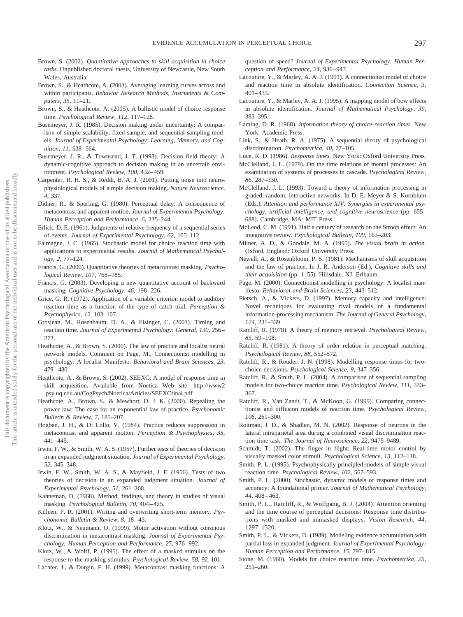- Brown, S. (2002). *Quantitative approaches to skill acquisition in choice tasks*. Unpublished doctoral thesis, University of Newcastle, New South Wales, Australia.
- Brown, S., & Heathcote, A. (2003). Averaging learning curves across and within participants. *Behavior Research Methods, Instruments & Computers, 35,* 11–21.
- Brown, S., & Heathcote, A. (2005). A ballistic model of choice response time. *Psychological Review, 112,* 117–128.
- Busemeyer, J. R. (1985). Decision making under uncertainty: A comparison of simple scalability, fixed-sample, and sequential-sampling models. *Journal of Experimental Psychology: Learning, Memory, and Cognition, 11,* 538 –564.
- Busemeyer, J. R., & Townsend, J. T. (1993). Decision field theory: A dynamic-cognitive approach to decision making in an uncertain environment. *Psychological Review, 100,* 432– 459.
- Carpenter, R. H. S., & Reddi, B. A. J. (2001). Putting noise into neurophysiological models of simple decision making. *Nature Neuroscience, 4,* 337.
- Didner, R., & Sperling, G. (1980). Perceptual delay: A consequence of metacontrast and apparent motion. *Journal of Experimental Psychology: Human Perception and Performance, 6,* 235–244.
- Erlick, D. E. (1961). Judgments of relative frequency of a sequential series of events. *Journal of Experimental Psychology, 62,* 105–112.
- Falmagne, J. C. (1965). Stochastic model for choice reaction time with applications to experimental results. *Journal of Mathematical Psychology, 2,* 77–124.
- Francis, G. (2000). Quantitative theories of metacontrast masking. *Psychological Review, 107,* 768 –785.
- Francis, G. (2003). Developing a new quantitative account of backward masking. *Cognitive Psychology, 46,* 198 –226.
- Grice, G. R. (1972). Application of a variable criterion model to auditory reaction time as a function of the type of catch trial. *Perception & Psychophysics, 12,* 103–107.
- Grosjean, M., Rosenbaum, D. A., & Elsinger, C. (2001). Timing and reaction time. *Journal of Experimental Psychology: General, 130, 2*56 – 272.
- Heathcote, A., & Brown, S. (2000). The law of practice and localist neural network models. Comment on Page, M., Connectionist modelling in psychology: A localist Manifesto. *Behavioral and Brain Sciences, 23,*  $479 - 480.$
- Heathcote, A., & Brown, S. (2002). SEEXC: A model of response time in skill acquisition. Available from Noetica Web site: http://www2 .psy.uq.edu.au/CogPsych/Noetica/Articles/SEEXCfinal.pdf
- Heathcote, A., Brown, S., & Mewhort, D. J. K. (2000). Repealing the power law: The case for an exponential law of practice. *Psychonomic Bulletin & Review, 7,* 185–207.
- Hogben, J. H., & Di Lollo, V. (1984). Practice reduces suppression in metacontrast and apparent motion. *Perception & Psychophysics, 35,*  $441 - 445$ .
- Irwin, F. W., & Smith, W. A. S. (1957). Further tests of theories of decision in an expanded judgment situation. *Journal of Experimental Psychology, 52,* 345–348.
- Irwin, F. W., Smith, W. A. S., & Mayfield, J. F. (1956). Tests of two theories of decision in an expanded judgment situation. *Journal of Experimental Psychology, 51,* 261–268.
- Kahneman, D. (1968). Method, findings, and theory in studies of visual masking. *Psychological Bulletin, 70,* 404 – 425.
- Killeen, P. R. (2001). Writing and overwriting short-term memory. *Psychonomic Bulletin & Review, 8,* 18 – 43.
- Klotz, W., & Neumann, O. (1999). Motor activation without conscious discrimination in metacontrast masking. *Journal of Experimental Psychology: Human Perception and Performance, 25,* 976 –992.
- Klotz, W., & Wolff, P. (1995). The effect of a masked stimulus on the response to the masking stimulus. *Psychological Review, 58,* 92–101.
- Lachter, J., & Durgin, F. H. (1999). Metacontrast masking functions: A

question of speed? *Journal of Experimental Psychology: Human Perception and Performance, 24,* 936 –947.

- Lacouture, Y., & Marley, A. A. J. (1991). A connectionist model of choice and reaction time in absolute identification. *Connection Science, 3,*  $401 - 433.$
- Lacouture, Y., & Marley, A. A. J. (1995). A mapping model of bow effects in absolute identification. *Journal of Mathematical Psychology, 39,* 383–395.
- Laming, D. R. (1968). *Information theory of choice-reaction times.* New York: Academic Press.
- Link, S., & Heath, R. A. (1975). A sequential theory of psychological discrimination. *Psychometrica, 40,* 77–105.
- Luce, R. D. (1986). *Response times.* New York: Oxford University Press.
- McClelland, J. L. (1979). On the time relations of mental processes: An examination of systems of processes in cascade. *Psychological Review, 86,* 287–330.
- McClelland, J. L. (1993). Toward a theory of information processing in graded, random, interactive networks. In D. E. Meyer & S. Kornblum (Eds.), *Attention and performance XIV: Synergies in experimental psychology, artificial intelligence, and cognitive neuroscience* (pp. 655– 688). Cambridge, MA: MIT Press.
- McLeod, C. M. (1991). Half a century of research on the Stroop effect: An integrative review. *Psychological Bulletin, 109,* 163–203.
- Milner, A. D., & Goodale, M. A. (1995). *The visual brain in action.* Oxford, England: Oxford University Press.
- Newell, A., & Rosenbloom, P. S. (1981). Mechanisms of skill acquisition and the law of practice. In J. R. Anderson (Ed.), *Cognitive skills and their acquisition* (pp. 1–55). Hillsdale, NJ: Erlbaum.
- Page, M. (2000). Connectionist modelling in psychology: A localist manifesto. *Behavioral and Brain Sciences, 23,* 443–512.
- Pietsch, A., & Vickers, D. (1997). Memory capacity and intelligence: Novel techniques for evaluating rival models of a fundamental information-processing mechanism. *The Journal of General Psychology, 124,* 231–339.
- Ratcliff, R. (1978). A theory of memory retrieval. *Psychological Review, 85,* 59 –108.
- Ratcliff, R. (1981). A theory of order relation in perceptual matching. *Psychological Review, 88,* 552–572.
- Ratcliff, R., & Rouder, J. N. (1998). Modelling response times for twochoice decisions. *Psychological Science, 9,* 347–356.
- Ratcliff, R., & Smith, P. L. (2004). A comparison of sequential sampling models for two-choice reaction time. *Psychological Review, 111,* 333– 367.
- Ratcliff, R., Van Zandt, T., & McKoon, G. (1999). Comparing connectionist and diffusion models of reaction time. *Psychological Review, 106,* 261–300.
- Roitman, J. D., & Shadlen, M. N. (2002). Response of neurons in the lateral intraparietal area during a combined visual discrimination reaction time task. *The Journal of Neuroscience, 22,* 9475–9489.
- Schmidt, T. (2002). The finger in flight: Real-time motor control by visually masked color stimuli. *Psychological Science, 13,* 112–118.
- Smith, P. L. (1995). Psychophysically principled models of simple visual reaction time. *Psychological Review, 102,* 567–593.
- Smith, P. L. (2000). Stochastic, dynamic models of response times and accuracy: A foundational primer. *Journal of Mathematical Psychology, 44,* 408 – 463.
- Smith, P. L., Ratcliff, R., & Wolfgang, B. J. (2004). Attention orienting and the time course of perceptual decisions: Response time distributions with masked and unmasked displays. *Vision Research, 44,* 1297–1320.
- Smith, P. L., & Vickers, D. (1989). Modeling evidence accumulation with partial loss in expanded judgment. *Journal of Experimental Psychology: Human Perception and Performance, 15,* 797– 815.
- Stone, M. (1960). Models for choice reaction time. *Psychometrika, 25,* 251–260.